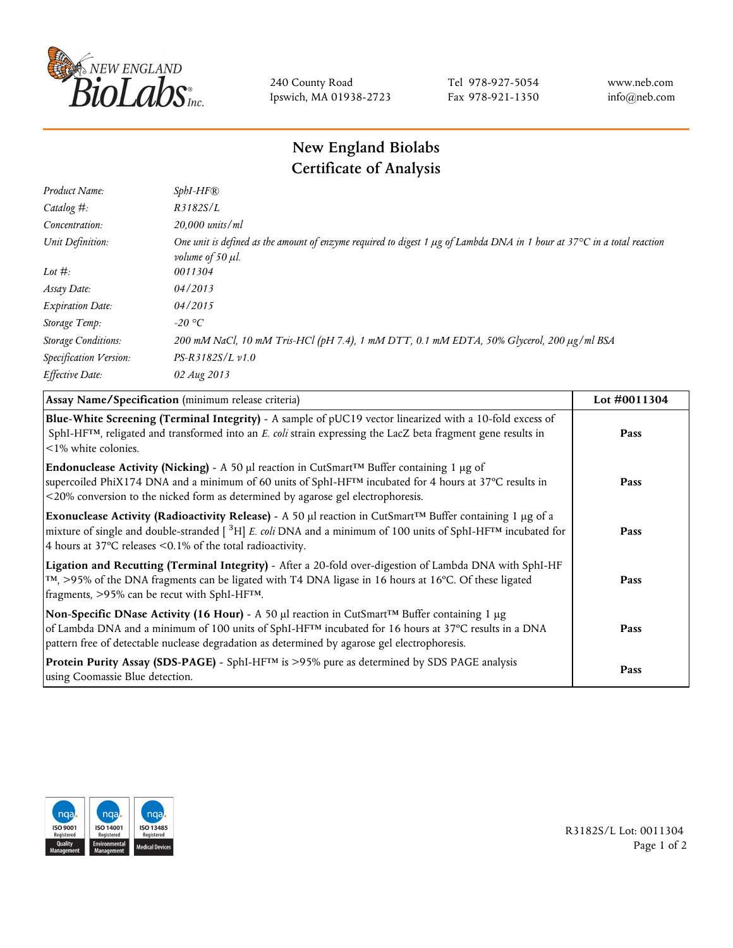

240 County Road Ipswich, MA 01938-2723 Tel 978-927-5054 Fax 978-921-1350 www.neb.com info@neb.com

## **New England Biolabs Certificate of Analysis**

| $SphI-HF$ $R$                                                                                                                                                          |
|------------------------------------------------------------------------------------------------------------------------------------------------------------------------|
| R3182S/L                                                                                                                                                               |
| $20,000$ units/ml                                                                                                                                                      |
| One unit is defined as the amount of enzyme required to digest 1 $\mu$ g of Lambda DNA in 1 hour at 37°C in a total reaction<br><i>volume of 50 <math>\mu</math>l.</i> |
| 0011304                                                                                                                                                                |
| 04/2013                                                                                                                                                                |
| 04/2015                                                                                                                                                                |
| $-20$ °C                                                                                                                                                               |
| 200 mM NaCl, 10 mM Tris-HCl (pH 7.4), 1 mM DTT, 0.1 mM EDTA, 50% Glycerol, 200 μg/ml BSA                                                                               |
| $PS-R3182S/L \nu 1.0$                                                                                                                                                  |
| 02 Aug 2013                                                                                                                                                            |
|                                                                                                                                                                        |

| Assay Name/Specification (minimum release criteria)                                                                                                                                                                                                                                                                                         | Lot #0011304 |
|---------------------------------------------------------------------------------------------------------------------------------------------------------------------------------------------------------------------------------------------------------------------------------------------------------------------------------------------|--------------|
| Blue-White Screening (Terminal Integrity) - A sample of pUC19 vector linearized with a 10-fold excess of<br>SphI-HF <sup>TM</sup> , religated and transformed into an E. coli strain expressing the LacZ beta fragment gene results in<br><1% white colonies.                                                                               | Pass         |
| Endonuclease Activity (Nicking) - A 50 µl reaction in CutSmart <sup>TM</sup> Buffer containing 1 µg of<br>supercoiled PhiX174 DNA and a minimum of 60 units of SphI-HF™ incubated for 4 hours at 37°C results in<br><20% conversion to the nicked form as determined by agarose gel electrophoresis.                                        | Pass         |
| Exonuclease Activity (Radioactivity Release) - A 50 $\mu$ l reaction in CutSmart <sup>TM</sup> Buffer containing 1 $\mu$ g of a<br>mixture of single and double-stranded $[{}^{3}H]E$ . coli DNA and a minimum of 100 units of SphI-HF <sup>TM</sup> incubated for<br>4 hours at 37 $\degree$ C releases < 0.1% of the total radioactivity. | Pass         |
| Ligation and Recutting (Terminal Integrity) - After a 20-fold over-digestion of Lambda DNA with SphI-HF<br>$\text{TM}$ , >95% of the DNA fragments can be ligated with T4 DNA ligase in 16 hours at 16 °C. Of these ligated<br>fragments, >95% can be recut with SphI-HFTM.                                                                 | Pass         |
| Non-Specific DNase Activity (16 Hour) - A 50 µl reaction in CutSmart <sup>TM</sup> Buffer containing 1 µg<br>of Lambda DNA and a minimum of 100 units of SphI-HF <sup>TM</sup> incubated for 16 hours at 37°C results in a DNA<br>pattern free of detectable nuclease degradation as determined by agarose gel electrophoresis.             | Pass         |
| Protein Purity Assay (SDS-PAGE) - SphI-HF™ is >95% pure as determined by SDS PAGE analysis<br>using Coomassie Blue detection.                                                                                                                                                                                                               | Pass         |



R3182S/L Lot: 0011304 Page 1 of 2